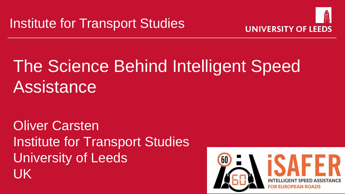

# The Science Behind Intelligent Speed **Assistance**

Oliver Carsten Institute for Transport Studies University of Leeds UK

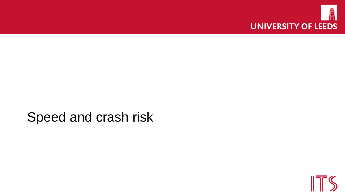

#### Speed and crash risk

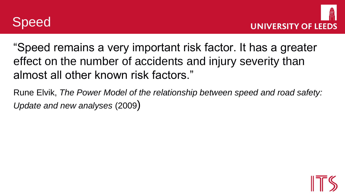



"Speed remains a very important risk factor. It has a greater effect on the number of accidents and injury severity than almost all other known risk factors."

Rune Elvik, *The Power Model of the relationship between speed and road safety: Update and new analyses* (2009)

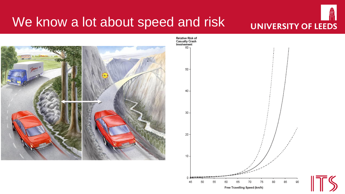#### We know a lot about speed and risk

# **UNIVERSITY OF LEEDS**

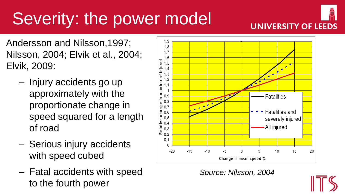## Severity: the power model



Andersson and Nilsson,1997; Nilsson, 2004; Elvik et al., 2004; Elvik, 2009:

- Injury accidents go up approximately with the proportionate change in speed squared for a length of road
- Serious injury accidents with speed cubed
- Fatal accidents with speed to the fourth power



*Source: Nilsson, 2004*

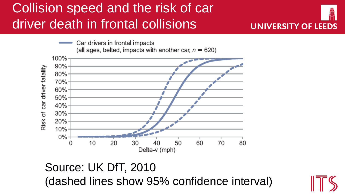## Collision speed and the risk of car driver death in frontal collisions







#### Source: UK DfT, 2010 (dashed lines show 95% confidence interval)

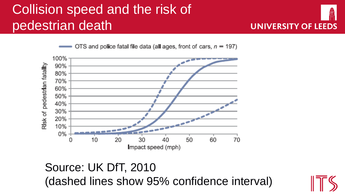## Collision speed and the risk of pedestrian death



OTS and police fatal file data (all ages, front of cars,  $n = 197$ )



#### Source: UK DfT, 2010 (dashed lines show 95% confidence interval)

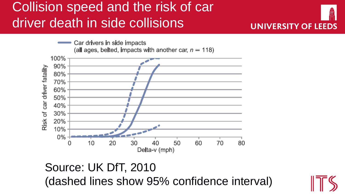### Collision speed and the risk of car driver death in side collisions



#### Source: UK DfT, 2010 (dashed lines show 95% confidence interval)



**UNIVERSITY OF LEEDS**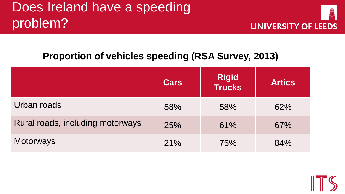### Does Ireland have a speeding problem?



#### **Proportion of vehicles speeding (RSA Survey, 2013)**

|                                  | <b>Cars</b> | <b>Rigid<br/>Trucks</b> | <b>Artics</b> |
|----------------------------------|-------------|-------------------------|---------------|
| Urban roads                      | 58%         | 58%                     | 62%           |
| Rural roads, including motorways | 25%         | 61%                     | 67%           |
| <b>Motorways</b>                 | 21%         | 75%                     | 84%           |

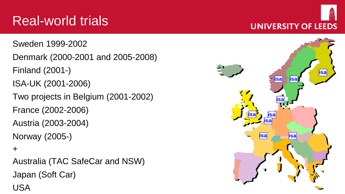## Real-world trials

Sweden 1999-2002 Denmark (2000-2001 and 2005-2008) Finland (2001-) ISA-UK (2001-2006) Two projects in Belgium (2001-2002) France (2002-2006) Austria (2003-2004) Norway (2005-)

#### +

Australia (TAC SafeCar and NSW) Japan (Soft Car) USA



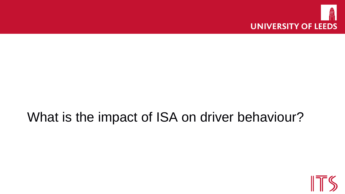

#### What is the impact of ISA on driver behaviour?

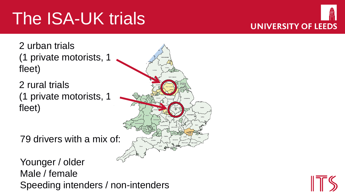# The ISA-UK trials



2 urban trials (1 private motorists, 1 fleet)

2 rural trials (1 private motorists, 1 fleet)

79 drivers with a mix of:

Younger / older Male / female Speeding intenders / non-intenders



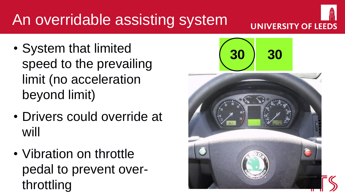## An overridable assisting system

- System that limited speed to the prevailing limit (no acceleration beyond limit)
- Drivers could override at will
- Vibration on throttle pedal to prevent over-





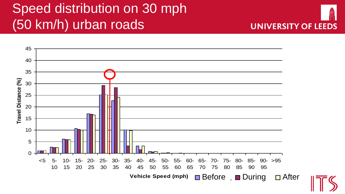### Speed distribution on 30 mph (50 km/h) urban roads



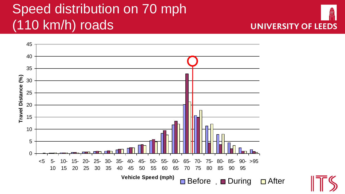## Speed distribution on 70 mph (110 km/h) roads

![](_page_14_Picture_1.jpeg)

![](_page_14_Picture_2.jpeg)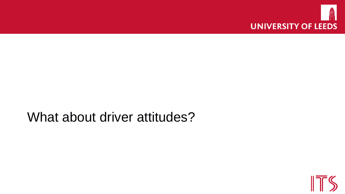![](_page_15_Picture_0.jpeg)

#### What about driver attitudes?

![](_page_15_Picture_2.jpeg)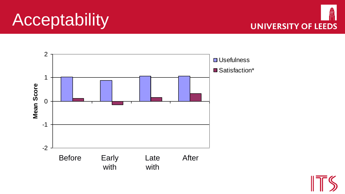## Acceptability

![](_page_16_Picture_1.jpeg)

![](_page_16_Figure_2.jpeg)

![](_page_16_Picture_3.jpeg)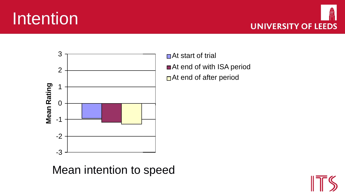## Intention

![](_page_17_Picture_1.jpeg)

![](_page_17_Figure_2.jpeg)

At start of trial At end of with ISA period At end of after period

speeding\*\* disengage Mean intention to speed

![](_page_17_Picture_5.jpeg)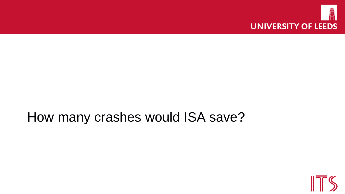![](_page_18_Picture_0.jpeg)

#### How many crashes would ISA save?

![](_page_18_Picture_2.jpeg)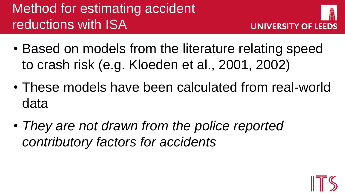## Method for estimating accident reductions with ISA

![](_page_19_Picture_1.jpeg)

- Based on models from the literature relating speed to crash risk (e.g. Kloeden et al., 2001, 2002)
- These models have been calculated from real-world data
- *They are not drawn from the police reported contributory factors for accidents*

![](_page_19_Picture_5.jpeg)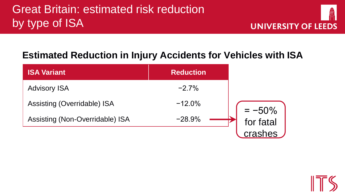#### **Estimated Reduction in Injury Accidents for Vehicles with ISA**

| <b>ISA Variant</b>              | <b>Reduction</b> |                        |
|---------------------------------|------------------|------------------------|
| <b>Advisory ISA</b>             | $-2.7%$          |                        |
| Assisting (Overridable) ISA     | $-12.0%$         |                        |
| Assisting (Non-Overridable) ISA | $-28.9%$         | $= -50\%$<br>for fatal |
|                                 |                  | crashes                |

![](_page_20_Picture_4.jpeg)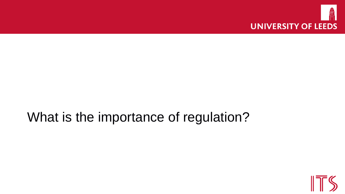![](_page_21_Picture_0.jpeg)

#### What is the importance of regulation?

![](_page_21_Picture_2.jpeg)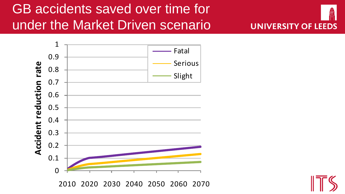## GB accidents saved over time for under the Market Driven scenario

![](_page_22_Picture_1.jpeg)

![](_page_22_Figure_2.jpeg)

2010 2020 2030 2040 2050 2060 2070

![](_page_22_Picture_4.jpeg)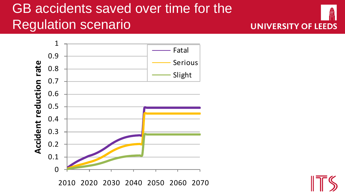### GB accidents saved over time for the Regulation scenario

![](_page_23_Picture_1.jpeg)

![](_page_23_Figure_2.jpeg)

![](_page_23_Picture_3.jpeg)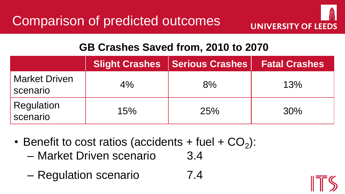![](_page_24_Picture_1.jpeg)

#### **GB Crashes Saved from, 2010 to 2070**

|                                  | <b>Slight Crashes</b> | <b>Serious Crashes</b> | <b>Fatal Crashes</b> |
|----------------------------------|-----------------------|------------------------|----------------------|
| <b>Market Driven</b><br>scenario | 4%                    | 8%                     | 13%                  |
| Regulation<br>scenario           | 15%                   | 25%                    | 30%                  |

- Benefit to cost ratios (accidents + fuel +  $CO<sub>2</sub>$ ):
	- Market Driven scenario 3.4
	- Regulation scenario 7.4

![](_page_24_Picture_7.jpeg)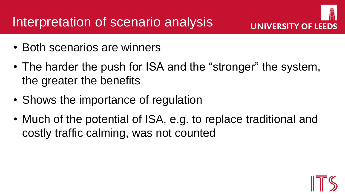- Both scenarios are winners
- The harder the push for ISA and the "stronger" the system, the greater the benefits
- Shows the importance of regulation
- Much of the potential of ISA, e.g. to replace traditional and costly traffic calming, was not counted

![](_page_25_Picture_6.jpeg)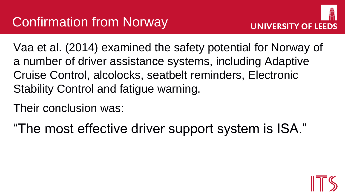![](_page_26_Picture_1.jpeg)

Vaa et al. (2014) examined the safety potential for Norway of a number of driver assistance systems, including Adaptive Cruise Control, alcolocks, seatbelt reminders, Electronic Stability Control and fatigue warning.

Their conclusion was:

"The most effective driver support system is ISA."

![](_page_26_Picture_5.jpeg)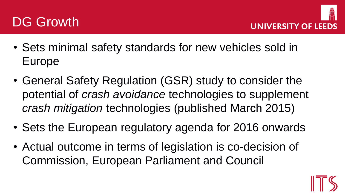![](_page_27_Picture_0.jpeg)

![](_page_27_Picture_1.jpeg)

- Sets minimal safety standards for new vehicles sold in Europe
- General Safety Regulation (GSR) study to consider the potential of *crash avoidance* technologies to supplement *crash mitigation* technologies (published March 2015)
- Sets the European regulatory agenda for 2016 onwards
- Actual outcome in terms of legislation is co-decision of Commission, European Parliament and Council

![](_page_27_Picture_6.jpeg)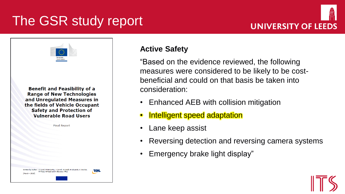### The GSR study report

![](_page_28_Picture_1.jpeg)

| European<br>Commission |  |
|------------------------|--|

**Benefit and Feasibility of a Range of New Technologies** and Unregulated Measures in the fields of Vehicle Occupant **Safety and Protection of Vulnerable Road Users** 

**Final Report** 

Author: D. Hynd. M. McCarthy, J. Carroll, M. Saidl, M. Edwards, C. M Tress, N Reed and A Stevens (T)

#### **Active Safety**

"Based on the evidence reviewed, the following measures were considered to be likely to be costbeneficial and could on that basis be taken into consideration:

- Enhanced AEB with collision mitigation
- Intelligent speed adaptation
- Lane keep assist
- Reversing detection and reversing camera systems
- Emergency brake light display"

![](_page_28_Picture_13.jpeg)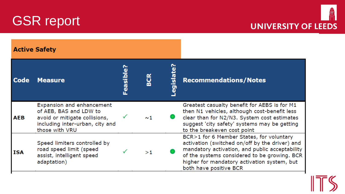![](_page_29_Picture_0.jpeg)

![](_page_29_Picture_1.jpeg)

| <b>Active Safety</b> |                                                                                                                                           |           |          |           |                                                                                                                                                                                                                                                                       |
|----------------------|-------------------------------------------------------------------------------------------------------------------------------------------|-----------|----------|-----------|-----------------------------------------------------------------------------------------------------------------------------------------------------------------------------------------------------------------------------------------------------------------------|
| <b>Code</b>          | <b>Measure</b>                                                                                                                            | Feasible? | BCR      | egislate? | <b>Recommendations/Notes</b>                                                                                                                                                                                                                                          |
| АЕВ                  | Expansion and enhancement<br>of AEB, BAS and LDW to<br>avoid or mitigate collisions,<br>including inter-urban, city and<br>those with VRU |           | $\sim$ 1 |           | Greatest casualty benefit for AEBS is for M1<br>then N1 vehicles, although cost-benefit less<br>clear than for N2/N3. System cost estimates<br>suggest 'city safety' systems may be getting<br>to the breakeven cost point                                            |
| ISA                  | Speed limiters controlled by<br>road speed limit (speed<br>assist, intelligent speed<br>adaptation)                                       |           | >1       |           | BCR>1 for 6 Member States, for voluntary<br>activation (switched on/off by the driver) and<br>mandatory activation, and public acceptability<br>of the systems considered to be growing. BCR<br>higher for mandatory activation system, but<br>both have positive BCR |

![](_page_29_Picture_3.jpeg)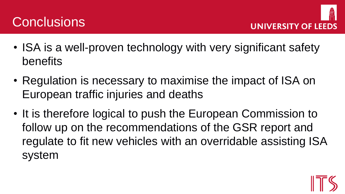## **Conclusions**

![](_page_30_Picture_1.jpeg)

- ISA is a well-proven technology with very significant safety benefits
- Regulation is necessary to maximise the impact of ISA on European traffic injuries and deaths
- It is therefore logical to push the European Commission to follow up on the recommendations of the GSR report and regulate to fit new vehicles with an overridable assisting ISA system

![](_page_30_Picture_5.jpeg)